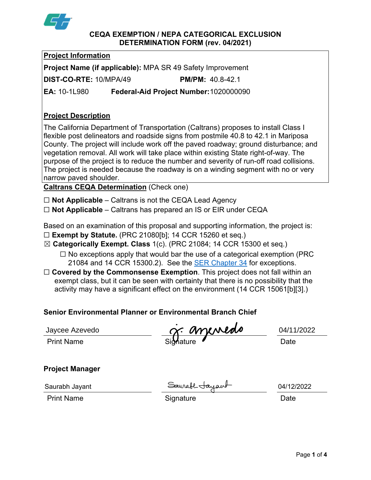

## **CEQA EXEMPTION / NEPA CATEGORICAL EXCLUSION DETERMINATION FORM (rev. 04/2021)**

**Project Information Project Name (if applicable):** MPA SR 49 Safety Improvement **DIST-CO-RTE:** 10/MPA/49 **PM/PM:** 40.8-42.1 **EA:** 10-1L980 **Federal-Aid Project Number:** 1020000090

# **Project Description**

The California Department of Transportation (Caltrans) proposes to install Class I flexible post delineators and roadside signs from postmile 40.8 to 42.1 in Mariposa County. The project will include work off the paved roadway; ground disturbance; and vegetation removal. All work will take place within existing State right-of-way. The purpose of the project is to reduce the number and severity of run-off road collisions. The project is needed because the roadway is on a winding segment with no or very narrow paved shoulder.

**Caltrans CEQA Determination** (Check one)

☐ **Not Applicable** – Caltrans is not the CEQA Lead Agency

☐ **Not Applicable** – Caltrans has prepared an IS or EIR under CEQA

Based on an examination of this proposal and supporting information, the project is:

- ☐ **Exempt by Statute.** (PRC 21080[b]; 14 CCR 15260 et seq.)
- ☒ **Categorically Exempt. Class** 1(c). (PRC 21084; 14 CCR 15300 et seq.)
	- $\Box$  No exceptions apply that would bar the use of a categorical exemption (PRC 21084 and 14 CCR 15300.2). See the **SER Chapter 34** for exceptions.
- □ **Covered by the Commonsense Exemption**. This project does not fall within an exempt class, but it can be seen with certainty that there is no possibility that the activity may have a significant effect on the environment (14 CCR 15061[b][3].)

# **Senior Environmental Planner or Environmental Branch Chief**

Jaycee Azevedo

Print Name Date Signature Contract Contract Date Jaycee Azevedo 04/11/2022

## **Project Manager**

Saurabh Jayant

Saurabh Jayant 04/12/2022

Print Name **Signature Contains Standard Standard Contains Container Contains Contains Contains Date**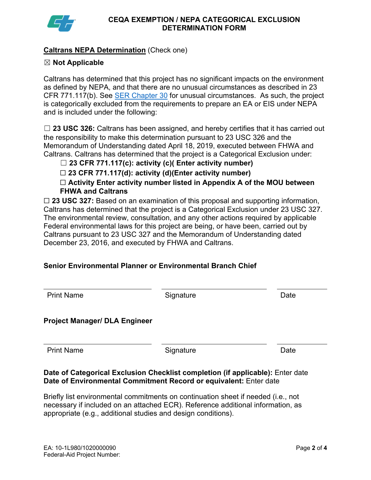

# **Caltrans NEPA Determination** (Check one)

# ☒ **Not Applicable**

Caltrans has determined that this project has no significant impacts on the environment as defined by NEPA, and that there are no unusual circumstances as described in 23 CFR 771.117(b). See SER Chapter 30 for unusual circumstances. As such, the project is categorically excluded from the requirements to prepare an EA or EIS under NEPA and is included under the following:

☐ **23 USC 326:** Caltrans has been assigned, and hereby certifies that it has carried out the responsibility to make this determination pursuant to 23 USC 326 and the Memorandum of Understanding dated April 18, 2019, executed between FHWA and Caltrans. Caltrans has determined that the project is a Categorical Exclusion under:

☐ **23 CFR 771.117(c): activity (c)( Enter activity number)**

☐ **23 CFR 771.117(d): activity (d)(Enter activity number)** 

☐ **Activity Enter activity number listed in Appendix A of the MOU between FHWA and Caltrans** 

□ 23 USC 327: Based on an examination of this proposal and supporting information, Caltrans has determined that the project is a Categorical Exclusion under 23 USC 327. The environmental review, consultation, and any other actions required by applicable Federal environmental laws for this project are being, or have been, carried out by Caltrans pursuant to 23 USC 327 and the Memorandum of Understanding dated December 23, 2016, and executed by FHWA and Caltrans.

# **Senior Environmental Planner or Environmental Branch Chief**

| Signature | Date |
|-----------|------|
|           |      |
| Signature | Date |
|           |      |

## **Date of Categorical Exclusion Checklist completion (if applicable):** Enter date **Date of Environmental Commitment Record or equivalent:** Enter date

Briefly list environmental commitments on continuation sheet if needed (i.e., not necessary if included on an attached ECR). Reference additional information, as appropriate (e.g., additional studies and design conditions).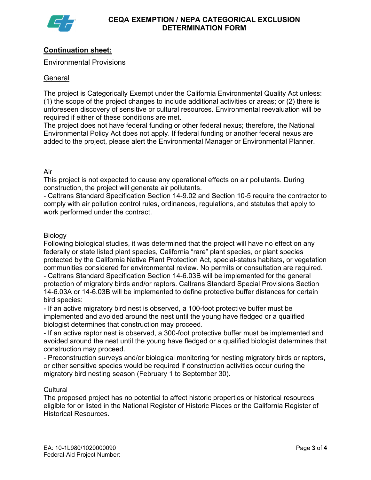

# **Continuation sheet:**

Environmental Provisions

## **General**

The project is Categorically Exempt under the California Environmental Quality Act unless: (1) the scope of the project changes to include additional activities or areas; or (2) there is unforeseen discovery of sensitive or cultural resources. Environmental reevaluation will be required if either of these conditions are met.

The project does not have federal funding or other federal nexus; therefore, the National Environmental Policy Act does not apply. If federal funding or another federal nexus are added to the project, please alert the Environmental Manager or Environmental Planner.

Air

This project is not expected to cause any operational effects on air pollutants. During construction, the project will generate air pollutants.

- Caltrans Standard Specification Section 14-9.02 and Section 10-5 require the contractor to comply with air pollution control rules, ordinances, regulations, and statutes that apply to work performed under the contract.

## Biology

Following biological studies, it was determined that the project will have no effect on any federally or state listed plant species, California "rare" plant species, or plant species protected by the California Native Plant Protection Act, special-status habitats, or vegetation communities considered for environmental review. No permits or consultation are required. - Caltrans Standard Specification Section 14-6.03B will be implemented for the general protection of migratory birds and/or raptors. Caltrans Standard Special Provisions Section 14-6.03A or 14-6.03B will be implemented to define protective buffer distances for certain bird species:

- If an active migratory bird nest is observed, a 100-foot protective buffer must be implemented and avoided around the nest until the young have fledged or a qualified biologist determines that construction may proceed.

- If an active raptor nest is observed, a 300-foot protective buffer must be implemented and avoided around the nest until the young have fledged or a qualified biologist determines that construction may proceed.

- Preconstruction surveys and/or biological monitoring for nesting migratory birds or raptors, or other sensitive species would be required if construction activities occur during the migratory bird nesting season (February 1 to September 30).

## **Cultural**

The proposed project has no potential to affect historic properties or historical resources eligible for or listed in the National Register of Historic Places or the California Register of Historical Resources.